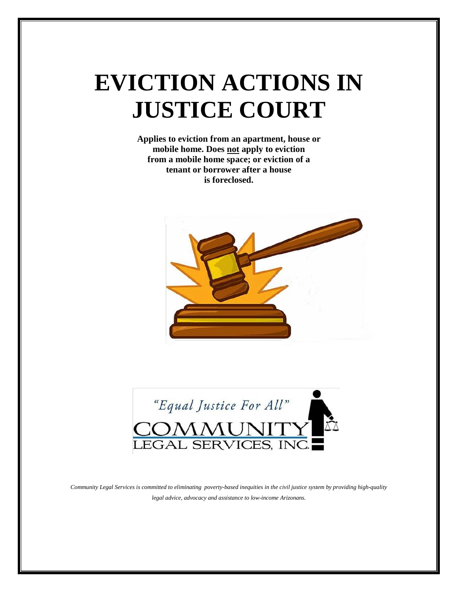# **EVICTION ACTIONS IN JUSTICE COURT**

**Applies to eviction from an apartment, house or mobile home. Does not apply to eviction from a mobile home space; or eviction of a tenant or borrower after a house is foreclosed.**





*Community Legal Services is committed to eliminating poverty-based inequities in the civil justice system by providing high-quality legal advice, advocacy and assistance to low-income Arizonans.*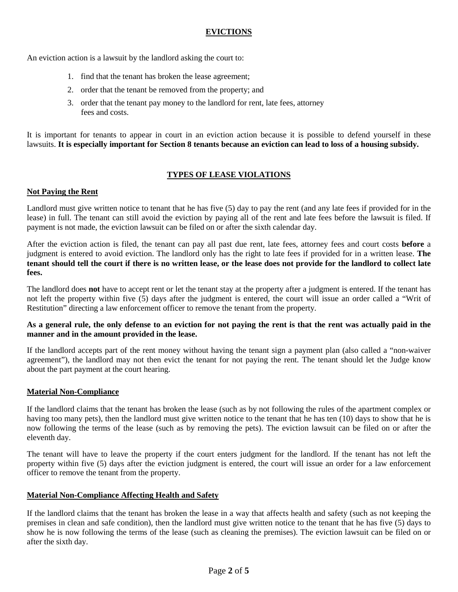# **EVICTIONS**

An eviction action is a lawsuit by the landlord asking the court to:

- 1. find that the tenant has broken the lease agreement;
- 2. order that the tenant be removed from the property; and
- 3. order that the tenant pay money to the landlord for rent, late fees, attorney fees and costs.

It is important for tenants to appear in court in an eviction action because it is possible to defend yourself in these lawsuits. **It is especially important for Section 8 tenants because an eviction can lead to loss of a housing subsidy.**

# **TYPES OF LEASE VIOLATIONS**

#### **Not Paying the Rent**

Landlord must give written notice to tenant that he has five (5) day to pay the rent (and any late fees if provided for in the lease) in full. The tenant can still avoid the eviction by paying all of the rent and late fees before the lawsuit is filed. If payment is not made, the eviction lawsuit can be filed on or after the sixth calendar day.

After the eviction action is filed, the tenant can pay all past due rent, late fees, attorney fees and court costs **before** a judgment is entered to avoid eviction. The landlord only has the right to late fees if provided for in a written lease. **The tenant should tell the court if there is no written lease, or the lease does not provide for the landlord to collect late fees.**

The landlord does **not** have to accept rent or let the tenant stay at the property after a judgment is entered. If the tenant has not left the property within five (5) days after the judgment is entered, the court will issue an order called a "Writ of Restitution" directing a law enforcement officer to remove the tenant from the property.

# **As a general rule, the only defense to an eviction for not paying the rent is that the rent was actually paid in the manner and in the amount provided in the lease.**

If the landlord accepts part of the rent money without having the tenant sign a payment plan (also called a "non-waiver agreement"), the landlord may not then evict the tenant for not paying the rent. The tenant should let the Judge know about the part payment at the court hearing.

# **Material Non-Compliance**

If the landlord claims that the tenant has broken the lease (such as by not following the rules of the apartment complex or having too many pets), then the landlord must give written notice to the tenant that he has ten (10) days to show that he is now following the terms of the lease (such as by removing the pets). The eviction lawsuit can be filed on or after the eleventh day.

The tenant will have to leave the property if the court enters judgment for the landlord. If the tenant has not left the property within five (5) days after the eviction judgment is entered, the court will issue an order for a law enforcement officer to remove the tenant from the property.

# **Material Non-Compliance Affecting Health and Safety**

If the landlord claims that the tenant has broken the lease in a way that affects health and safety (such as not keeping the premises in clean and safe condition), then the landlord must give written notice to the tenant that he has five (5) days to show he is now following the terms of the lease (such as cleaning the premises). The eviction lawsuit can be filed on or after the sixth day.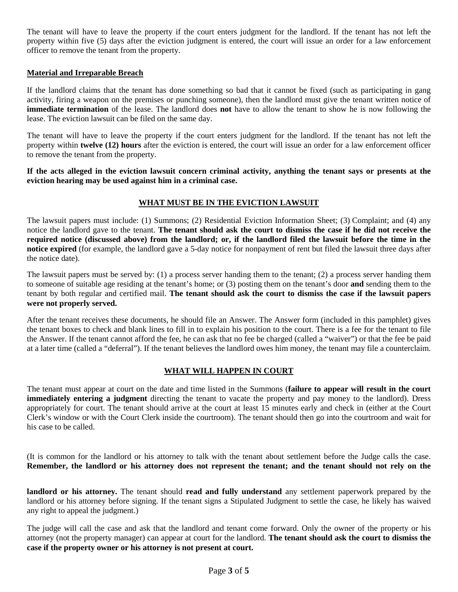The tenant will have to leave the property if the court enters judgment for the landlord. If the tenant has not left the property within five (5) days after the eviction judgment is entered, the court will issue an order for a law enforcement officer to remove the tenant from the property.

## **Material and Irreparable Breach**

If the landlord claims that the tenant has done something so bad that it cannot be fixed (such as participating in gang activity, firing a weapon on the premises or punching someone), then the landlord must give the tenant written notice of **immediate termination** of the lease. The landlord does **not** have to allow the tenant to show he is now following the lease. The eviction lawsuit can be filed on the same day.

The tenant will have to leave the property if the court enters judgment for the landlord. If the tenant has not left the property within **twelve (12) hours** after the eviction is entered, the court will issue an order for a law enforcement officer to remove the tenant from the property.

**If the acts alleged in the eviction lawsuit concern criminal activity, anything the tenant says or presents at the eviction hearing may be used against him in a criminal case.** 

# **WHAT MUST BE IN THE EVICTION LAWSUIT**

The lawsuit papers must include: (1) Summons; (2) Residential Eviction Information Sheet; (3) Complaint; and (4) any notice the landlord gave to the tenant. **The tenant should ask the court to dismiss the case if he did not receive the required notice (discussed above) from the landlord; or, if the landlord filed the lawsuit before the time in the notice expired** (for example, the landlord gave a 5-day notice for nonpayment of rent but filed the lawsuit three days after the notice date).

The lawsuit papers must be served by: (1) a process server handing them to the tenant; (2) a process server handing them to someone of suitable age residing at the tenant's home; or (3) posting them on the tenant's door **and** sending them to the tenant by both regular and certified mail. **The tenant should ask the court to dismiss the case if the lawsuit papers were not properly served.**

After the tenant receives these documents, he should file an Answer. The Answer form (included in this pamphlet) gives the tenant boxes to check and blank lines to fill in to explain his position to the court. There is a fee for the tenant to file the Answer. If the tenant cannot afford the fee, he can ask that no fee be charged (called a "waiver") or that the fee be paid at a later time (called a "deferral"). If the tenant believes the landlord owes him money, the tenant may file a counterclaim.

# **WHAT WILL HAPPEN IN COURT**

The tenant must appear at court on the date and time listed in the Summons (**failure to appear will result in the court immediately entering a judgment** directing the tenant to vacate the property and pay money to the landlord). Dress appropriately for court. The tenant should arrive at the court at least 15 minutes early and check in (either at the Court Clerk's window or with the Court Clerk inside the courtroom). The tenant should then go into the courtroom and wait for his case to be called.

(It is common for the landlord or his attorney to talk with the tenant about settlement before the Judge calls the case. **Remember, the landlord or his attorney does not represent the tenant; and the tenant should not rely on the**

**landlord or his attorney.** The tenant should **read and fully understand** any settlement paperwork prepared by the landlord or his attorney before signing. If the tenant signs a Stipulated Judgment to settle the case, he likely has waived any right to appeal the judgment.)

The judge will call the case and ask that the landlord and tenant come forward. Only the owner of the property or his attorney (not the property manager) can appear at court for the landlord. **The tenant should ask the court to dismiss the case if the property owner or his attorney is not present at court.**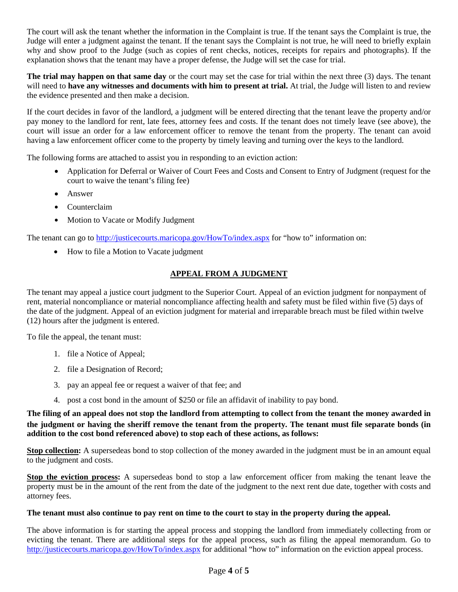The court will ask the tenant whether the information in the Complaint is true. If the tenant says the Complaint is true, the Judge will enter a judgment against the tenant. If the tenant says the Complaint is not true, he will need to briefly explain why and show proof to the Judge (such as copies of rent checks, notices, receipts for repairs and photographs). If the explanation shows that the tenant may have a proper defense, the Judge will set the case for trial.

**The trial may happen on that same day** or the court may set the case for trial within the next three (3) days. The tenant will need to **have any witnesses and documents with him to present at trial.** At trial, the Judge will listen to and review the evidence presented and then make a decision.

If the court decides in favor of the landlord, a judgment will be entered directing that the tenant leave the property and/or pay money to the landlord for rent, late fees, attorney fees and costs. If the tenant does not timely leave (see above), the court will issue an order for a law enforcement officer to remove the tenant from the property. The tenant can avoid having a law enforcement officer come to the property by timely leaving and turning over the keys to the landlord.

The following forms are attached to assist you in responding to an eviction action:

- Application for Deferral or Waiver of Court Fees and Costs and Consent to Entry of Judgment (request for the court to waive the tenant's filing fee)
- $\bullet$  Answer
- Counterclaim
- Motion to Vacate or Modify Judgment

The tenant can go to [http://justicecourts.maricopa.gov/HowTo/index.aspx](http://justicecourts.maricopa.gov/Forms/index.aspx) for "how to" information on:

• How to file a Motion to Vacate judgment

# **APPEAL FROM A JUDGMENT**

The tenant may appeal a justice court judgment to the Superior Court. Appeal of an eviction judgment for nonpayment of rent, material noncompliance or material noncompliance affecting health and safety must be filed within five (5) days of the date of the judgment. Appeal of an eviction judgment for material and irreparable breach must be filed within twelve (12) hours after the judgment is entered.

To file the appeal, the tenant must:

- 1. file a Notice of Appeal;
- 2. file a Designation of Record;
- 3. pay an appeal fee or request a waiver of that fee; and
- 4. post a cost bond in the amount of \$250 or file an affidavit of inability to pay bond.

# **The filing of an appeal does not stop the landlord from attempting to collect from the tenant the money awarded in the judgment or having the sheriff remove the tenant from the property. The tenant must file separate bonds (in addition to the cost bond referenced above) to stop each of these actions, as follows:**

**Stop collection:** A supersedeas bond to stop collection of the money awarded in the judgment must be in an amount equal to the judgment and costs.

**Stop the eviction process:** A supersedeas bond to stop a law enforcement officer from making the tenant leave the property must be in the amount of the rent from the date of the judgment to the next rent due date, together with costs and attorney fees.

# **The tenant must also continue to pay rent on time to the court to stay in the property during the appeal.**

The above information is for starting the appeal process and stopping the landlord from immediately collecting from or evicting the tenant. There are additional steps for the appeal process, such as filing the appeal memorandum. Go to [http://justicecourts.maricopa.gov/HowTo/index.aspx](http://justicecourts.maricopa.gov/Forms/index.aspx) for additional "how to" information on the eviction appeal process.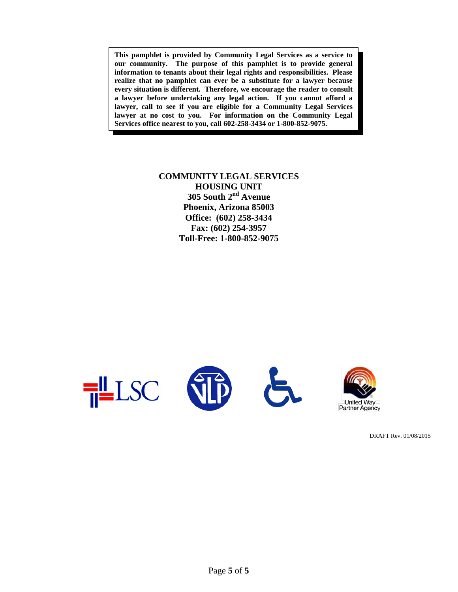**This pamphlet is provided by Community Legal Services as a service to our community. The purpose of this pamphlet is to provide general information to tenants about their legal rights and responsibilities. Please realize that no pamphlet can ever be a substitute for a lawyer because every situation is different. Therefore, we encourage the reader to consult a lawyer before undertaking any legal action. If you cannot afford a lawyer, call to see if you are eligible for a Community Legal Services lawyer at no cost to you. For information on the Community Legal Services office nearest to you, call 602-258-3434 or 1-800-852-9075.**

# **COMMUNITY LEGAL SERVICES HOUSING UNIT 305 South 2nd Avenue Phoenix, Arizona 85003 Office: (602) 258-3434 Fax: (602) 254-3957 Toll-Free: 1-800-852-9075**



DRAFT Rev. 01/08/2015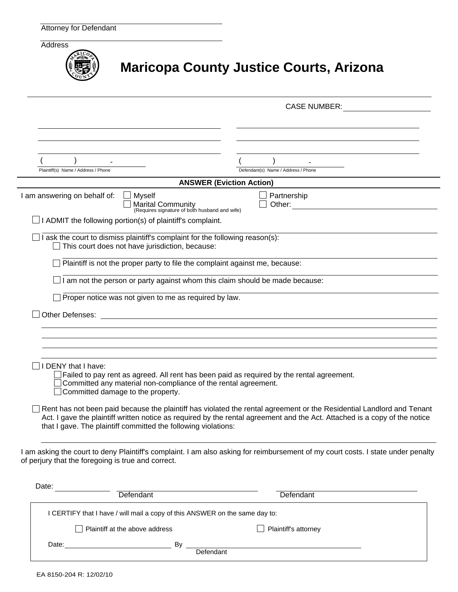| Address                                                                                                                    | <b>Maricopa County Justice Courts, Arizona</b> |
|----------------------------------------------------------------------------------------------------------------------------|------------------------------------------------|
|                                                                                                                            | <b>CASE NUMBER:</b>                            |
|                                                                                                                            |                                                |
|                                                                                                                            |                                                |
|                                                                                                                            |                                                |
|                                                                                                                            |                                                |
| Plaintiff(s) Name / Address / Phone                                                                                        | Defendant(s) Name / Address / Phone            |
|                                                                                                                            | <b>ANSWER (Eviction Action)</b>                |
| I am answering on behalf of:<br><b>Myself</b><br><b>Marital Community</b><br>(Requires signature of both husband and wife) | Partnership<br>Other:                          |
| I ADMIT the following portion(s) of plaintiff's complaint.                                                                 |                                                |
| I ask the court to dismiss plaintiff's complaint for the following reason(s):                                              |                                                |

This court does not have jurisdiction, because:

 $\Box$  Plaintiff is not the proper party to file the complaint against me, because:

 $\Box$  I am not the person or party against whom this claim should be made because:

 $\Box$  Proper notice was not given to me as required by law.

Other Defenses:

 $\Box$  I DENY that I have:

 $\Box$  Failed to pay rent as agreed. All rent has been paid as required by the rental agreement.

Committed any material non-compliance of the rental agreement.

□ Committed damage to the property.

 $\Box$  Rent has not been paid because the plaintiff has violated the rental agreement or the Residential Landlord and Tenant Act. I gave the plaintiff written notice as required by the rental agreement and the Act. Attached is a copy of the notice that I gave. The plaintiff committed the following violations:

I am asking the court to deny Plaintiff's complaint. I am also asking for reimbursement of my court costs. I state under penalty of perjury that the foregoing is true and correct.

| Date: | Defendant                                                                   | Defendant            |  |
|-------|-----------------------------------------------------------------------------|----------------------|--|
|       | I CERTIFY that I have / will mail a copy of this ANSWER on the same day to: |                      |  |
|       | $\Box$ Plaintiff at the above address                                       | Plaintiff's attorney |  |
| Date: | Bv<br>Defendant                                                             |                      |  |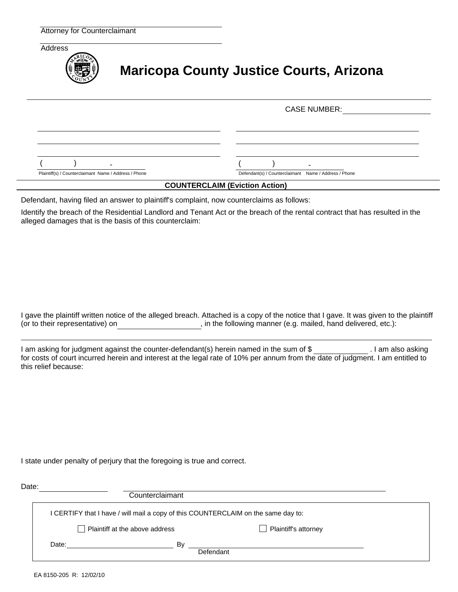

# **Maricopa County Justice Courts, Arizona**

|                                                       | <b>CASE NUMBER:</b>                                   |
|-------------------------------------------------------|-------------------------------------------------------|
|                                                       |                                                       |
|                                                       |                                                       |
|                                                       |                                                       |
|                                                       |                                                       |
| Plaintiff(s) / Counterclaimant Name / Address / Phone | Defendant(s) / Counterclaimant Name / Address / Phone |

#### **COUNTERCLAIM (Eviction Action)**

Defendant, having filed an answer to plaintiff's complaint, now counterclaims as follows:

Identify the breach of the Residential Landlord and Tenant Act or the breach of the rental contract that has resulted in the alleged damages that is the basis of this counterclaim:

I gave the plaintiff written notice of the alleged breach. Attached is a copy of the notice that I gave. It was given to the plaintiff (or to their representative) on  $\qquad \qquad$ , in the following manner (e.g. mailed, hand delivered, etc.):

I am asking for judgment against the counter-defendant(s) herein named in the sum of \$ . I am also asking for costs of court incurred herein and interest at the legal rate of 10% per annum from the date of judgment. I am entitled to this relief because:

I state under penalty of perjury that the foregoing is true and correct.

| Counterclaimant |                                                                                                                                  |  |  |
|-----------------|----------------------------------------------------------------------------------------------------------------------------------|--|--|
|                 |                                                                                                                                  |  |  |
|                 | $\Box$ Plaintiff's attorney                                                                                                      |  |  |
| B٧              |                                                                                                                                  |  |  |
|                 | I CERTIFY that I have / will mail a copy of this COUNTERCLAIM on the same day to:<br>Plaintiff at the above address<br>Defendant |  |  |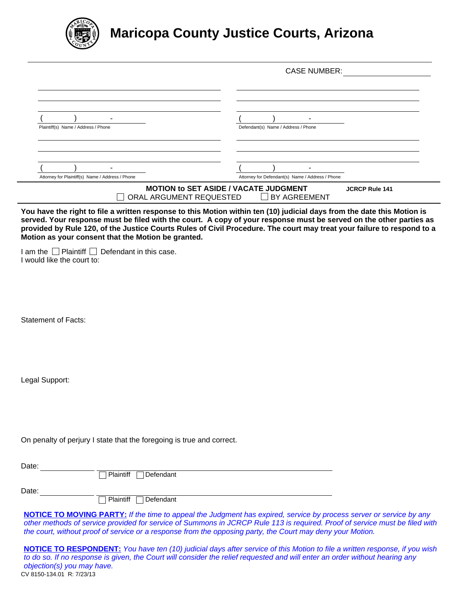

# **Maricopa County Justice Courts, Arizona**

|                                                  | <b>CASE NUMBER:</b>                                                                                           |
|--------------------------------------------------|---------------------------------------------------------------------------------------------------------------|
| -                                                | ۰                                                                                                             |
| Plaintiff(s) Name / Address / Phone              | Defendant(s) Name / Address / Phone                                                                           |
| ۰                                                | ۰                                                                                                             |
| Attorney for Plaintiff(s) Name / Address / Phone | Attorney for Defendant(s) Name / Address / Phone                                                              |
|                                                  | <b>MOTION to SET ASIDE / VACATE JUDGMENT</b><br><b>JCRCP Rule 141</b><br>ORAL ARGUMENT REQUESTED BY AGREEMENT |

**You have the right to file a written response to this Motion within ten (10) judicial days from the date this Motion is served. Your response must be filed with the court. A copy of your response must be served on the other parties as provided by Rule 120, of the Justice Courts Rules of Civil Procedure. The court may treat your failure to respond to a Motion as your consent that the Motion be granted.**

I am the  $\Box$  Plaintiff  $\Box$  Defendant in this case. I would like the court to:

Statement of Facts:

Legal Support:

On penalty of perjury I state that the foregoing is true and correct.

Date: Plaintiff Defendant Date: **Plaintiff Defendant** 

**NOTICE TO MOVING PARTY:** *If the time to appeal the Judgment has expired, service by process server or service by any other methods of service provided for service of Summons in JCRCP Rule 113 is required. Proof of service must be filed with the court, without proof of service or a response from the opposing party, the Court may deny your Motion.*

CV 8150-134.01 R: 7/23/13 **NOTICE TO RESPONDENT:** *You have ten (10) judicial days after service of this Motion to file a written response, if you wish to do so. If no response is given, the Court will consider the relief requested and will enter an order without hearing any objection(s) you may have.*